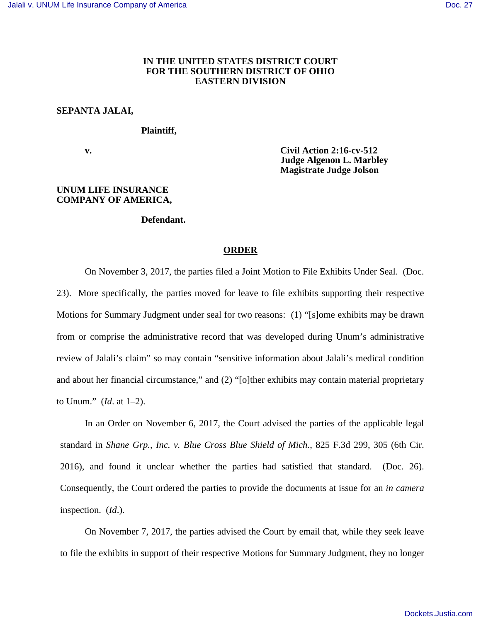## **IN THE UNITED STATES DISTRICT COURT FOR THE SOUTHERN DISTRICT OF OHIO EASTERN DIVISION**

# **SEPANTA JALAI,**

### **Plaintiff,**

 **v. Civil Action 2:16-cv-512 Judge Algenon L. Marbley Magistrate Judge Jolson** 

#### **UNUM LIFE INSURANCE COMPANY OF AMERICA,**

#### **Defendant.**

### **ORDER**

On November 3, 2017, the parties filed a Joint Motion to File Exhibits Under Seal. (Doc. 23). More specifically, the parties moved for leave to file exhibits supporting their respective Motions for Summary Judgment under seal for two reasons: (1) "[s]ome exhibits may be drawn from or comprise the administrative record that was developed during Unum's administrative review of Jalali's claim" so may contain "sensitive information about Jalali's medical condition and about her financial circumstance," and (2) "[o]ther exhibits may contain material proprietary to Unum." (*Id*. at 1–2).

In an Order on November 6, 2017, the Court advised the parties of the applicable legal standard in *Shane Grp., Inc. v. Blue Cross Blue Shield of Mich.*, 825 F.3d 299, 305 (6th Cir. 2016), and found it unclear whether the parties had satisfied that standard. (Doc. 26). Consequently, the Court ordered the parties to provide the documents at issue for an *in camera* inspection. (*Id*.).

On November 7, 2017, the parties advised the Court by email that, while they seek leave to file the exhibits in support of their respective Motions for Summary Judgment, they no longer